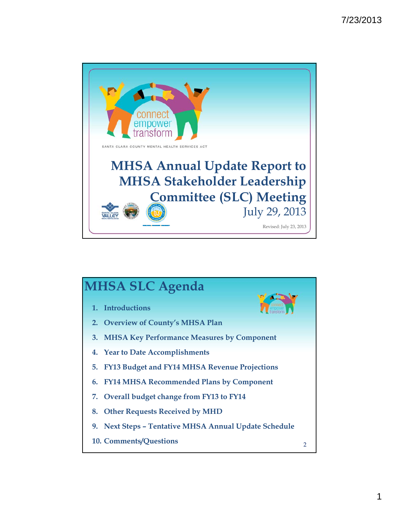

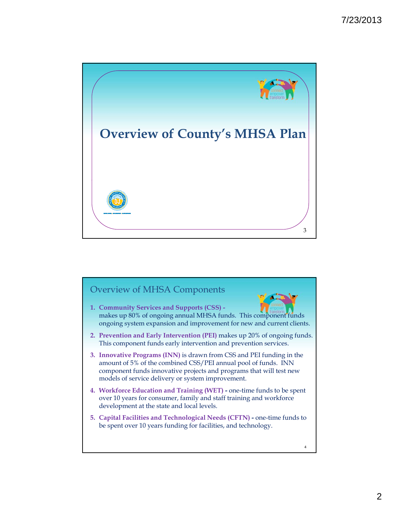

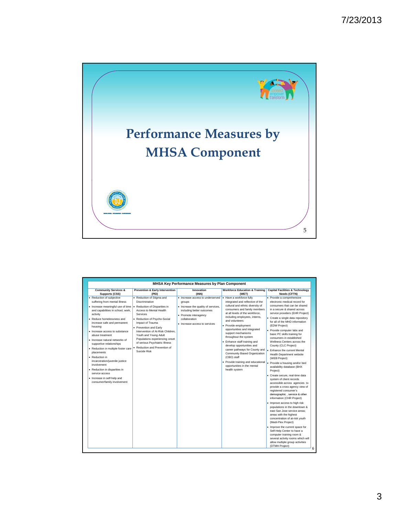

|                                                                                                                                                                                                                                                                                                                                                                                                                                                                                                                                                                               |                                                                                                                                                                                                                                                                                                                                                                                  | MHSA Key Performance Measures by Plan Component                                                                                                                                           |                                                                                                                                                                                                                                                                                                                                                                                                                                                                                                                                                                   |                                                                                                                                                                                                                                                                                                                                                                                                                                                                                                                                                                                                                                                                                                                                                                                                                                                                                                                                                                                                                                                                                                                                                                  |
|-------------------------------------------------------------------------------------------------------------------------------------------------------------------------------------------------------------------------------------------------------------------------------------------------------------------------------------------------------------------------------------------------------------------------------------------------------------------------------------------------------------------------------------------------------------------------------|----------------------------------------------------------------------------------------------------------------------------------------------------------------------------------------------------------------------------------------------------------------------------------------------------------------------------------------------------------------------------------|-------------------------------------------------------------------------------------------------------------------------------------------------------------------------------------------|-------------------------------------------------------------------------------------------------------------------------------------------------------------------------------------------------------------------------------------------------------------------------------------------------------------------------------------------------------------------------------------------------------------------------------------------------------------------------------------------------------------------------------------------------------------------|------------------------------------------------------------------------------------------------------------------------------------------------------------------------------------------------------------------------------------------------------------------------------------------------------------------------------------------------------------------------------------------------------------------------------------------------------------------------------------------------------------------------------------------------------------------------------------------------------------------------------------------------------------------------------------------------------------------------------------------------------------------------------------------------------------------------------------------------------------------------------------------------------------------------------------------------------------------------------------------------------------------------------------------------------------------------------------------------------------------------------------------------------------------|
| <b>Community Services &amp;</b><br><b>Supports (CSS)</b>                                                                                                                                                                                                                                                                                                                                                                                                                                                                                                                      | <b>Prevention &amp; Early Intervention</b><br>(PEI)                                                                                                                                                                                                                                                                                                                              | Innovation<br>(INN)                                                                                                                                                                       | <b>Workforce Education &amp; Training</b><br>(WET)                                                                                                                                                                                                                                                                                                                                                                                                                                                                                                                | <b>Capital Facilities &amp; Technology</b><br>Needs (CFTN)                                                                                                                                                                                                                                                                                                                                                                                                                                                                                                                                                                                                                                                                                                                                                                                                                                                                                                                                                                                                                                                                                                       |
| • Reduction of subjective<br>suffering from mental illness<br>Increase meaningful use of time<br>and capabilities in school, work,<br>activity<br>Reduce homelessness and<br>increase safe and permanent<br>housing<br>Increase access to substance<br>abuse treatment<br>· Increase natural networks of<br>supportive relationships<br>· Reduction in multiple foster care<br>placements<br>· Reduction in<br>incarceration/juvenile justice<br>involvement<br>· Reduction in disparities in<br>service access<br>· Increase in self-help and<br>consumer/family involvement | • Reduction of Stigma and<br>Discrimination<br>Reduction of Disparities in<br>Access to Mental Health<br>Services<br>• Reduction of Psycho-Social<br>Impact of Trauma<br>• Prevention and Early<br>Intervention of At-Risk Children.<br>Youth and Young Adult<br>Populations experiencing onset<br>of serious Psychiatric Illness<br>Reduction and Prevention of<br>Suicide Risk | · Increase access to underserved<br>groups<br>• Increase the quality of services,<br>including better outcomes<br>• Promote interagency<br>collaboration<br>• Increase access to services | • Have a workforce fully<br>integrated and reflective of the<br>cultural and ethnic diversity of<br>consumers and family members<br>at all levels of the workforce,<br>including employees, interns,<br>and volunteers<br>• Provide employment<br>opportunities and integrated<br>support mechanisms<br>throughout the system<br>• Enhance staff training and<br>develop opportunities and<br>career pathways for County and<br>Community Based Organization<br>(CBO) staff<br>• Provide training and educational<br>opportunities in the mental<br>health system | • Provide a comprehensive<br>electronic medical record for<br>consumers that can be shared<br>in a secure & shared across<br>service providers (EHR Project)<br>• Create a single data repository<br>for all of the MHD information<br>(EDW Project)<br>• Provide computer labs and<br>basic PC skills training for<br>consumers in established<br>Wellness Centers across the<br>County (CLC Project)<br>Enhance the current Mental<br>Health Department website<br>(WEB Project)<br>Provide a housing and/or bed<br>availability database (BHX<br>Project)<br>· Create secure, real-time data<br>system of client records<br>accessible across agencies to<br>provide a cross agency view of<br>registered consumer's<br>demographic, service & other<br>information (CHR Project)<br>. Improve access to high risk<br>populations in the downtown &<br>east San Jose service areas:<br>areas with the highest<br>concentration of at-risk vouth<br>(Medi-Plex Project)<br>• Improve the current space for<br>Self-Help Center to have a<br>computer training room &<br>several activity rooms which will<br>allow multiple group activities<br>(DTMH Project) |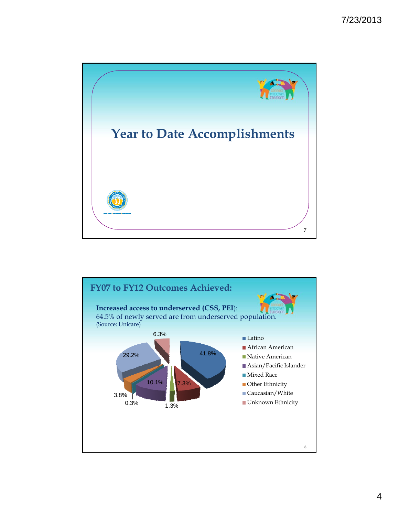

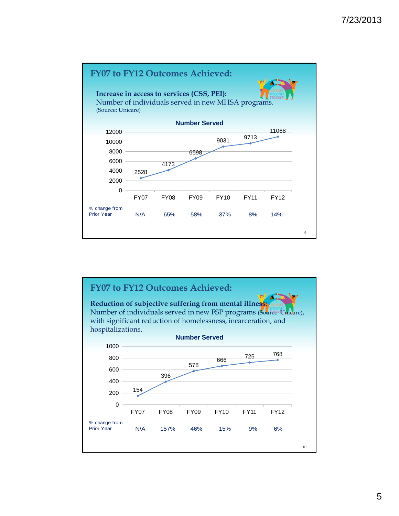

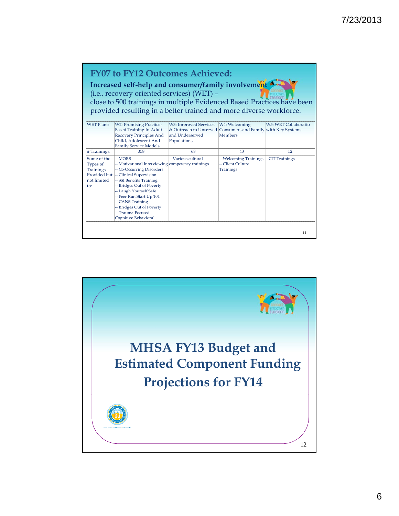## **FY07 to FY12 Outcomes Achieved:**

Increased self-help and consumer/family involvement **A** (i.e., recovery oriented services) (WET) – close to 500 trainings in multiple Evidenced Based Practices have been provided resulting in a better trained and more diverse workforce.

| <b>WET Plans:</b> | <b>W2</b> : Promising Practice-                   | W3: Improved Services                                        | W4: Welcoming          | W5: WET Collaboratio |
|-------------------|---------------------------------------------------|--------------------------------------------------------------|------------------------|----------------------|
|                   | <b>Based Training In Adult</b>                    | & Outreach to Unserved Consumers and Family with Key Systems |                        |                      |
|                   | Recovery Principles And                           | and Underserved                                              | Members                |                      |
|                   | Child, Adolescent And                             | Populations                                                  |                        |                      |
|                   | <b>Family Service Models</b>                      |                                                              |                        |                      |
| # Trainings:      | 358                                               | 68                                                           | 43                     | 12                   |
| Some of the       | -- MORS                                           | -- Various cultural                                          | -- Welcoming Trainings | --CIT Trainings      |
| Types of          | -- Motivational Interviewing competency trainings |                                                              | -- Client Culture      |                      |
| Trainings         | -- Co-Occurring Disorders                         |                                                              | Trainings              |                      |
|                   | Provided but - Clinical Supervision               |                                                              |                        |                      |
| not limited       | -- SSI Benefits Training                          |                                                              |                        |                      |
| to:               | -- Bridges Out of Poverty                         |                                                              |                        |                      |
|                   | -- Laugh Yourself Safe                            |                                                              |                        |                      |
|                   | -- Peer Run Start Up 101                          |                                                              |                        |                      |
|                   | -- CANS Training                                  |                                                              |                        |                      |
|                   | -- Bridges Out of Poverty                         |                                                              |                        |                      |
|                   | -- Trauma Focused                                 |                                                              |                        |                      |
|                   | Cognitive Behavioral                              |                                                              |                        |                      |
|                   |                                                   |                                                              |                        |                      |
|                   |                                                   |                                                              |                        |                      |
|                   |                                                   |                                                              |                        | 11                   |

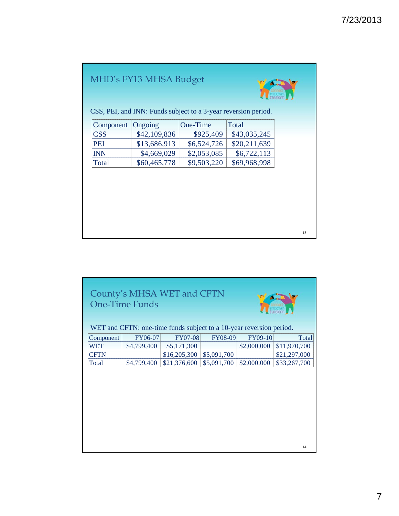## MHD's FY13 MHSA Budget



13

CSS, PEI, and INN: Funds subject to a 3-year reversion period.

| Component   Ongoing |              | One-Time    | Total        |
|---------------------|--------------|-------------|--------------|
| CSS                 | \$42,109,836 | \$925,409   | \$43,035,245 |
| <b>PEI</b>          | \$13,686,913 | \$6,524,726 | \$20,211,639 |
| <b>INN</b>          | \$4,669,029  | \$2,053,085 | \$6,722,113  |
| Total               | \$60,465,778 | \$9,503,220 | \$69,968,998 |

|             | <b>One-Time Funds</b> | County's MHSA WET and CFTN<br>WET and CFTN: one-time funds subject to a 10-year reversion period. |                |             |              |
|-------------|-----------------------|---------------------------------------------------------------------------------------------------|----------------|-------------|--------------|
| Component   | FY06-07               | <b>FY07-08</b>                                                                                    | <b>FY08-09</b> | FY09-10     | Total        |
| WET         | \$4,799,400           | \$5,171,300                                                                                       |                | \$2,000,000 | \$11,970,700 |
| <b>CFTN</b> |                       | \$16,205,300                                                                                      | \$5,091,700    |             | \$21,297,000 |
| Total       | \$4,799,400           | \$21,376,600                                                                                      | \$5,091,700    | \$2,000,000 | \$33,267,700 |
|             |                       |                                                                                                   |                |             |              |
|             |                       |                                                                                                   |                |             | 14           |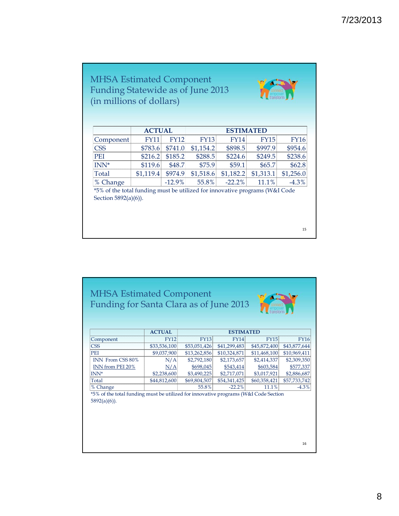| <b>FY11</b>          | <b>FY12</b> | <b>FY13</b>                               | <b>FY14</b> | <b>FY15</b>                       | <b>FY16</b>                                                                                                  |
|----------------------|-------------|-------------------------------------------|-------------|-----------------------------------|--------------------------------------------------------------------------------------------------------------|
| \$783.6              | \$741.0     | \$1,154.2                                 | \$898.5     | \$997.9                           | \$954.6                                                                                                      |
| \$216.2              | \$185.2     | \$288.5                                   | \$224.6     | \$249.5                           | \$238.6                                                                                                      |
| \$119.6              | \$48.7      | \$75.9                                    | \$59.1      | \$65.7                            | \$62.8                                                                                                       |
| \$1,119.4            | \$974.9     | \$1,518.6                                 | \$1,182.2   | \$1,313.1                         | \$1,256.0                                                                                                    |
|                      | $-12.9%$    | 55.8%                                     | $-22.2%$    | 11.1%                             | $-4.3\%$                                                                                                     |
| Section 5892(a)(6)). |             |                                           |             |                                   |                                                                                                              |
|                      |             | (in millions of dollars)<br><b>ACTUAL</b> |             | Funding Statewide as of June 2013 | transform<br><b>ESTIMATED</b><br>*5% of the total funding must be utilized for innovative programs (W&I Code |

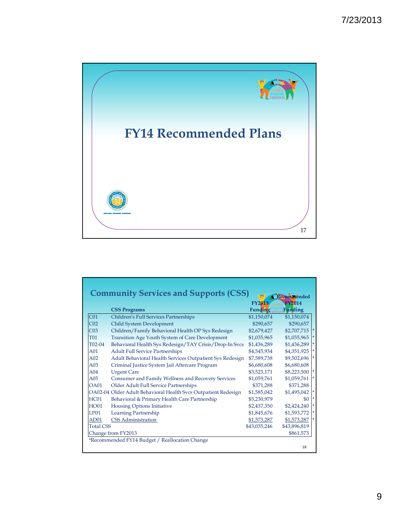

|                  |                                                                | <b>FY2013</b>  | <b>FY2014</b>  |
|------------------|----------------------------------------------------------------|----------------|----------------|
|                  | <b>CSS Programs</b>                                            | <b>Funding</b> | <b>Funding</b> |
| CO <sub>1</sub>  | Children's Full Services Partnerships                          | \$1,150,074    | \$1,150,074    |
| CO <sub>2</sub>  | Child System Development                                       | \$290,657      | \$290,657      |
| CO <sub>3</sub>  | Children/Family Behavioral Health OP Sys Redesign              | \$2,679,427    | \$2,707,715    |
| <b>T01</b>       | Transition Age Youth System of Care Development                | \$1,035,965    | \$1,035,965    |
| T02-04           | Behavioral Health Sys Redesign/TAY Crisis/Drop-In Svcs         | \$1,436,289    | \$1,436,289    |
| A01              | <b>Adult Full Service Partnerships</b>                         | \$4,545,934    | \$4,351,925    |
| A02              | Adult Behavioral Health Services Outpatient Sys Redesign       | \$7,589,738    | \$9,502,696    |
| A03              | Criminal Justice System Jail Aftercare Program                 | \$6,680,608    | \$6,680,608    |
| A04              | <b>Urgent Care</b>                                             | \$3,523,171    | \$8,223,500    |
| A05              | Consumer and Family Wellness and Recovery Services             | \$1,059,761    | \$1,059,761    |
| <b>OA01</b>      | Older Adult Full Service Partnerships                          | \$371,288      | \$371,288      |
|                  | OA02-04 Older Adult Behavioral Health Svcs Outpatient Redesign | \$1,585,042    | \$1,495,042    |
| HC01             | Behavioral & Primary Health Care Partnership                   | \$5,230,979    | \$0            |
| <b>HO01</b>      | <b>Housing Options Initiative</b>                              | \$2,437,350    | \$2,424,240    |
| <b>LP01</b>      | Learning Partnership                                           | \$1,845,676    | \$1,593,772    |
| AD01             | <b>CSS</b> Administration                                      | \$1,573,287    | \$1,573,287    |
| <b>Total CSS</b> |                                                                | \$43,035,246   | \$43,896,819   |
|                  | Change from FY2013                                             |                | \$861,573      |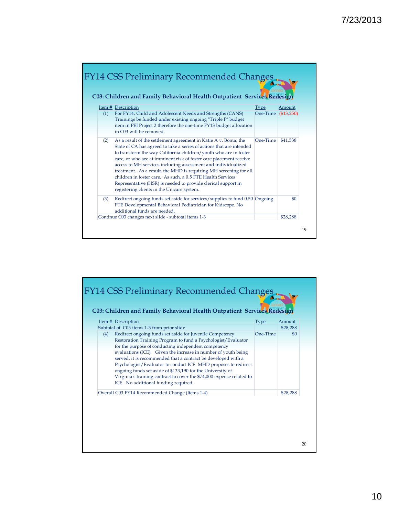|     | C03: Children and Family Behavioral Health Outpatient Services Redesign                                                                                                                                                                                                                                                                                                                                                                                                                                                                                                                                |                         |                       |
|-----|--------------------------------------------------------------------------------------------------------------------------------------------------------------------------------------------------------------------------------------------------------------------------------------------------------------------------------------------------------------------------------------------------------------------------------------------------------------------------------------------------------------------------------------------------------------------------------------------------------|-------------------------|-----------------------|
| (1) | Item # Description<br>For FY14, Child and Adolescent Needs and Strengths (CANS)<br>Trainings be funded under existing ongoing "Triple P" budget<br>item in PEI Project 2 therefore the one-time FY13 budget allocation<br>in C03 will be removed.                                                                                                                                                                                                                                                                                                                                                      | <b>Type</b><br>One-Time | Amount<br>( \$13,250) |
| (2) | As a result of the settlement agreement in Katie A v. Bonta, the<br>State of CA has agreed to take a series of actions that are intended<br>to transform the way California children/youth who are in foster<br>care, or who are at imminent risk of foster care placement receive<br>access to MH services including assessment and individualized<br>treatment. As a result, the MHD is requiring MH screening for all<br>children in foster care. As such, a 0.5 FTE Health Services<br>Representative (HSR) is needed to provide clerical support in<br>registering clients in the Unicare system. | One-Time                | \$41,538              |
| (3) | Redirect ongoing funds set aside for services/supplies to fund 0.50 Ongoing<br>FTE Developmental Behavioral Pediatrician for Kidscope. No<br>additional funds are needed.                                                                                                                                                                                                                                                                                                                                                                                                                              |                         | \$0                   |

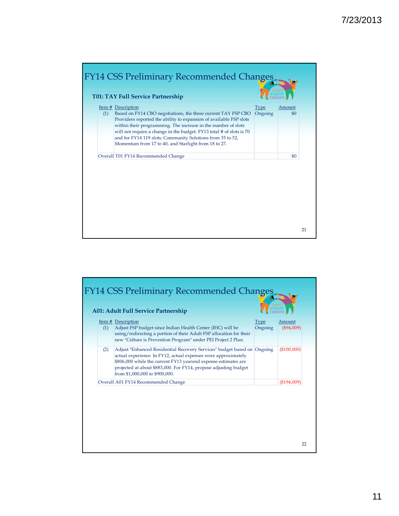

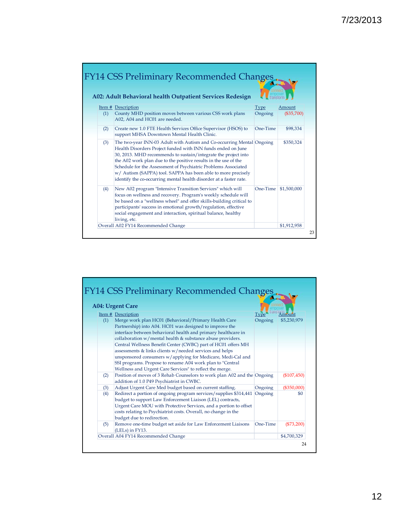|     | <b>FY14 CSS Preliminary Recommended Changes</b><br>A02: Adult Behavioral health Outpatient Services Redesign                                                                                                                                                                                                                                                                                                                                                                        | transform |              |
|-----|-------------------------------------------------------------------------------------------------------------------------------------------------------------------------------------------------------------------------------------------------------------------------------------------------------------------------------------------------------------------------------------------------------------------------------------------------------------------------------------|-----------|--------------|
|     | <b>Item # Description</b>                                                                                                                                                                                                                                                                                                                                                                                                                                                           | Type      | Amount       |
| (1) | County MHD position moves between various CSS work plans<br>A02, A04 and HC01 are needed.                                                                                                                                                                                                                                                                                                                                                                                           | Ongoing   | $(\$35,700)$ |
| (2) | Create new 1.0 FTE Health Services Office Supervisor (HSOS) to<br>support MHSA Downtown Mental Health Clinic.                                                                                                                                                                                                                                                                                                                                                                       | One-Time  | \$98,334     |
| (3) | The two-year INN-03 Adult with Autism and Co-occurring Mental Ongoing<br>Health Disorders Project funded with INN funds ended on June<br>30, 2013. MHD recommends to sustain/integrate the project into<br>the A02 work plan due to the positive results in the use of the<br>Schedule for the Assessment of Psychiatric Problems Associated<br>w/ Autism (SAPPA) tool. SAPPA has been able to more precisely<br>identify the co-occurring mental health disorder at a faster rate. |           | \$350,324    |
| (4) | New A02 program "Intensive Transition Services" which will<br>focus on wellness and recovery. Program's weekly schedule will<br>be based on a "wellness wheel" and offer skills-building critical to<br>participants' success in emotional growth/regulation, effective<br>social engagement and interaction, spiritual balance, healthy                                                                                                                                            | One-Time  | \$1,500,000  |
|     | living, etc.<br>Overall A02 FY14 Recommended Change                                                                                                                                                                                                                                                                                                                                                                                                                                 |           | \$1,912,958  |

|     | <b>A04: Urgent Care</b>                                                                                                                                                                                                                                                                               |             |               |
|-----|-------------------------------------------------------------------------------------------------------------------------------------------------------------------------------------------------------------------------------------------------------------------------------------------------------|-------------|---------------|
|     | Item # Description                                                                                                                                                                                                                                                                                    | <b>Type</b> | Amount        |
| (1) | Merge work plan HC01 (Behavioral/Primary Health Care<br>Partnership) into A04. HC01 was designed to improve the<br>interface between behavioral health and primary healthcare in<br>collaboration w/mental health & substance abuse providers.                                                        | Ongoing     | \$5,230,979   |
|     | Central Wellness Benefit Center (CWBC) part of HC01 offers MH<br>assessments & links clients w/needed services and helps                                                                                                                                                                              |             |               |
|     | unsponsored consumers w/applying for Medicare, Medi-Cal and<br>SSI programs. Propose to rename A04 work plan to "Central<br>Wellness and Urgent Care Services" to reflect the merge.                                                                                                                  |             |               |
| (2) | Position of moves of 3 Rehab Counselors to work plan A02 and the Ongoing<br>addition of 1.0 P49 Psychiatrist in CWBC.                                                                                                                                                                                 |             | $(\$107,450)$ |
| (3) | Adjust Urgent Care Med budget based on current staffing.                                                                                                                                                                                                                                              | Ongoing     | $(\$350,000)$ |
| (4) | Redirect a portion of ongoing program services/supplies \$314,441<br>budget to support Law Enforcement Liaison (LEL) contracts,<br>Urgent Care MOU with Protective Services, and a portion to offset<br>costs relating to Psychiatrist costs. Overall, no change in the<br>budget due to redirection. | Ongoing     | \$0           |
| (5) | Remove one-time budget set aside for Law Enforcement Liaisons<br>(LELs) in FY13.                                                                                                                                                                                                                      | One-Time    | (\$73,200)    |
|     | Overall A04 FY14 Recommended Change                                                                                                                                                                                                                                                                   |             | \$4,700,329   |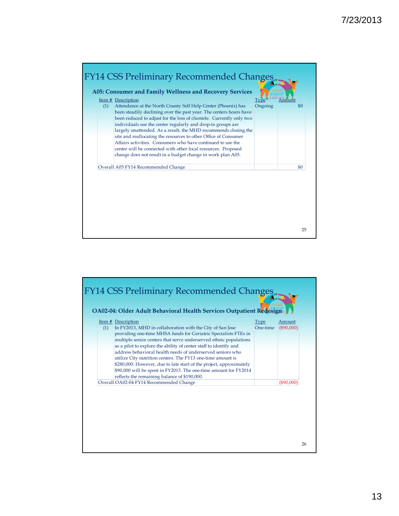

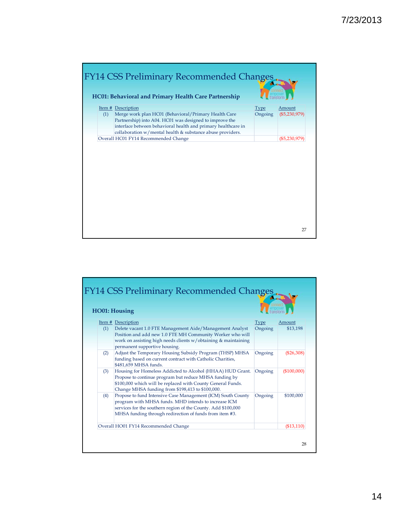

|     | <b>HO01: Housing</b>                                                                                                                                                                                                                             |         |              |
|-----|--------------------------------------------------------------------------------------------------------------------------------------------------------------------------------------------------------------------------------------------------|---------|--------------|
|     | Item # Description                                                                                                                                                                                                                               | Type    | Amount       |
| (1) | Delete vacant 1.0 FTE Management Aide/Management Analyst<br>Position and add new 1.0 FTE MH Community Worker who will<br>work on assisting high needs clients w/obtaining & maintaining<br>permanent supportive housing.                         | Ongoing | \$13,198     |
| (2) | Adjust the Temporary Housing Subsidy Program (THSP) MHSA<br>funding based on current contract with Catholic Charities,<br>\$481,659 MHSA funds.                                                                                                  | Ongoing | $(\$26,308)$ |
| (3) | Housing for Homeless Addicted to Alcohol (HHAA) HUD Grant.<br>Propose to continue program but reduce MHSA funding by<br>\$100,000 which will be replaced with County General Funds.<br>Change MHSA funding from \$198,413 to \$100,000.          | Ongoing | (\$100,000)  |
| (4) | Propose to fund Intensive Case Management (ICM) South County<br>program with MHSA funds. MHD intends to increase ICM<br>services for the southern region of the County. Add \$100,000<br>MHSA funding through redirection of funds from item #3. | Ongoing | \$100,000    |
|     | Overall HO01 FY14 Recommended Change                                                                                                                                                                                                             |         | ( \$13, 110) |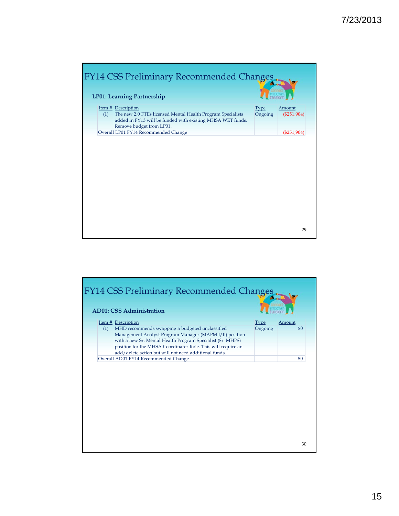

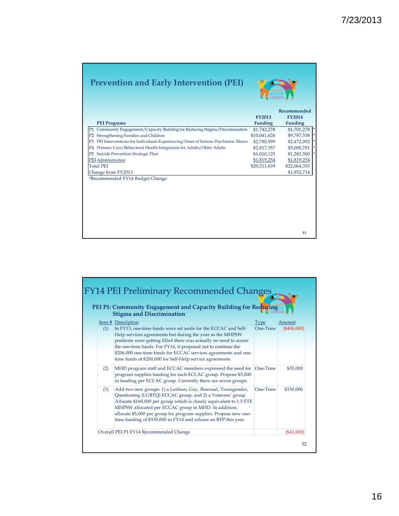| <b>Prevention and Early Intervention (PEI)</b>                                                        |                |                |
|-------------------------------------------------------------------------------------------------------|----------------|----------------|
|                                                                                                       |                | Recommended    |
|                                                                                                       | <b>FY2013</b>  | <b>FY2014</b>  |
| <b>PEI Programs</b>                                                                                   | <b>Funding</b> | <b>Funding</b> |
| P1 Community Engagement/Capacity Building for Reducing Stigma/Discrimination                          | \$1,742,278    | \$1,701,278    |
| P2 Strengthening Families and Children                                                                | \$10,041,626   | \$9,787,538    |
| PEI Interventions for Individuals Experiencing Onset of Serious Psychiatric Illness<br>P <sub>3</sub> | \$2,780,999    | \$2,472,002    |
| Primary Care/Behavioral Health Integration for Adults/Older Adults<br>P4                              | \$2,817,357    | \$5,000,781    |
| Suicide Prevention Strategic Plan<br>P5.                                                              | \$1,010,125    | \$1,283,500    |
| PEI Administration                                                                                    | \$1,819,254    | \$1,819,254    |
| <b>Total PEI</b>                                                                                      | \$20,211,639   | \$22,064,353   |
| Change from FY2013                                                                                    |                | \$1,852,714    |
| *Recommended FY14 Budget Change                                                                       |                |                |
|                                                                                                       |                |                |
|                                                                                                       |                |                |
|                                                                                                       |                |                |
|                                                                                                       |                |                |
|                                                                                                       |                | 31             |

|     | PEI P1: Community Engagement and Capacity Building for Reducing<br><b>Stigma and Discrimination</b>                                                                                                                                                                                                                                                                                                                      | transform        |                         |
|-----|--------------------------------------------------------------------------------------------------------------------------------------------------------------------------------------------------------------------------------------------------------------------------------------------------------------------------------------------------------------------------------------------------------------------------|------------------|-------------------------|
| (1) | Item # Description<br>In FY13, one-time funds were set aside for the ECCAC and Self-<br>Help services agreements but during the year as the MHPSW<br>positions were getting filled there was actually no need to access<br>the one-time funds. For FY14, it proposed not to continue the<br>\$206,000 one-time funds for ECCAC services agreements and one-<br>time funds of \$200,000 for Self-Help service agreements. | Type<br>One-Time | Amount<br>$(\$406,000)$ |
| (2) | MHD program staff and ECCAC members expressed the need for<br>program supplies funding for each ECCAC group. Propose \$5,000<br>in funding per ECCAC group. Currently there are seven groups.                                                                                                                                                                                                                            | One-Time         | \$35,000                |
| (3) | Add two new groups: 1) a Lesbian, Gay, Bisexual, Transgender,<br>Questioning (LGBTQ) ECCAC group, and 2) a Veterans' group.<br>Allocate \$160,000 per group which is closely equivalent to 1.5 FTE<br>MHPSW allocated per ECCAC group in MHD. In addition,<br>allocate \$5,000 per group for program supplies. Propose new one-<br>time funding of \$330,000 in FY14 and release an RFP this year.                       | One-Time         | \$330,000               |
|     | Overall PEI P1 FY14 Recommended Change                                                                                                                                                                                                                                                                                                                                                                                   |                  | (\$41,000"              |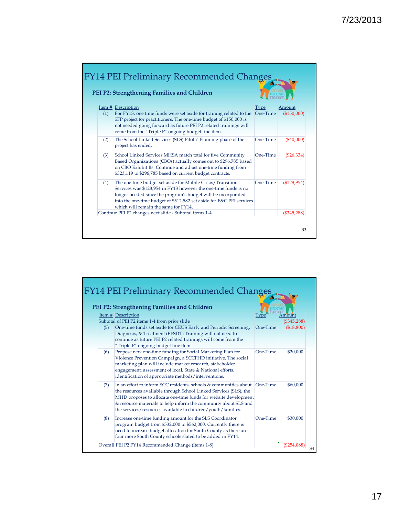|     | PEI P2: Strengthening Families and Children                                                                                                                                                                                                                                                                    |          |                       |
|-----|----------------------------------------------------------------------------------------------------------------------------------------------------------------------------------------------------------------------------------------------------------------------------------------------------------------|----------|-----------------------|
| (1) | Item # Description<br>For FY13, one time funds were set aside for training related to the One-Time<br>SFP project for practitioners. The one-time budget of \$150,000 is<br>not needed going forward as future PEI P2 related trainings will<br>come from the "Triple P" ongoing budget line item.             | Type     | Amount<br>(\$150,000) |
| (2) | The School Linked Services (SLS) Pilot / Planning phase of the<br>project has ended.                                                                                                                                                                                                                           | One-Time | ( \$40,000]           |
| (3) | School Linked Services MHSA match total for five Community<br>Based Organizations (CBOs) actually comes out to \$296,785 based<br>on CBO Exhibit Bs. Continue and adjust one-time funding from<br>\$323,119 to \$296,785 based on current budget contracts.                                                    | One-Time | $(\$26,334)$          |
| (4) | The one-time budget set aside for Mobile Crisis/Transition<br>Services was \$128,954 in FY13 however the one-time funds is no<br>longer needed since the program's budget will be incorporated<br>into the one-time budget of \$512,582 set aside for F&C PEI services<br>which will remain the same for FY14. | One-Time | ( \$128, 954)         |
|     | Continue PEI P2 changes next slide - Subtotal items 1-4                                                                                                                                                                                                                                                        |          | $(\$345,288$          |

|     | PEI P2: Strengthening Families and Children                                                                                                                                                                                                                                                                                                  |          |                             |
|-----|----------------------------------------------------------------------------------------------------------------------------------------------------------------------------------------------------------------------------------------------------------------------------------------------------------------------------------------------|----------|-----------------------------|
|     | <b>Item # Description</b>                                                                                                                                                                                                                                                                                                                    | Type     | Amount                      |
| (5) | Subtotal of PEI P2 items 1-4 from prior slide<br>One-time funds set aside for CEUS Early and Periodic Screening,<br>Diagnosis, & Treatment (EPSDT) Training will not need to<br>continue as future PEI P2 related trainings will come from the<br>"Triple P" ongoing budget line item.                                                       | One-Time | $(\$345,288)$<br>(\$18,800) |
| (6) | Propose new one-time funding for Social Marketing Plan for<br>Violence Prevention Campaign, a SCCPHD initiative. The social<br>marketing plan will include market research, stakeholder<br>engagement, assessment of local, State & National efforts,<br>identification of appropriate methods/interventions.                                | One-Time | \$20,000                    |
| (7) | In an effort to inform SCC residents, schools & communities about<br>the resources available through School Linked Services (SLS), the<br>MHD proposes to allocate one-time funds for website development<br>& resource materials to help inform the community about SLS and<br>the services/resources available to children/youth/families. | One-Time | \$60,000                    |
| (8) | Increase one-time funding amount for the SLS Coordinator<br>program budget from \$532,000 to \$562,000. Currently there is<br>need to increase budget allocation for South County as there are<br>four more South County schools slated to be added in FY14.                                                                                 | One-Time | \$30,000                    |
|     | Overall PEI P2 FY14 Recommended Change (Items 1-8)                                                                                                                                                                                                                                                                                           |          | (\$254,088)                 |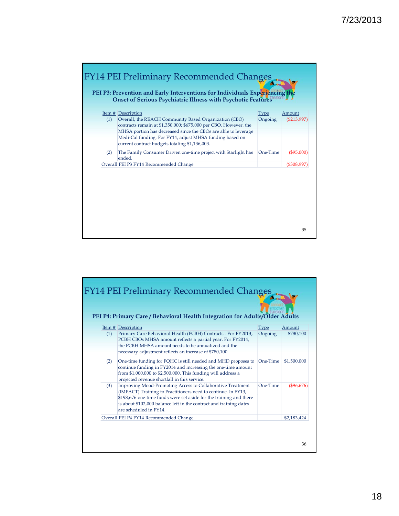

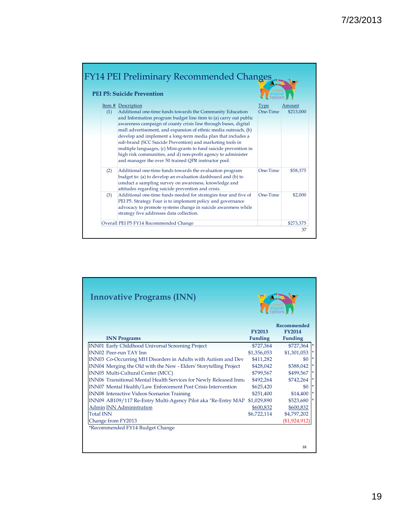|     | <b>PEI P5: Suicide Prevention</b>                                                                                                                                                                                                                                                                                                                                                                                                                                                                                                                                                              |          |           |
|-----|------------------------------------------------------------------------------------------------------------------------------------------------------------------------------------------------------------------------------------------------------------------------------------------------------------------------------------------------------------------------------------------------------------------------------------------------------------------------------------------------------------------------------------------------------------------------------------------------|----------|-----------|
|     | Item # Description                                                                                                                                                                                                                                                                                                                                                                                                                                                                                                                                                                             | Type     | Amount    |
| (1) | Additional one-time funds towards the Community Education<br>and Information program budget line item to (a) carry out public<br>awareness campaign of county crisis line through buses, digital<br>mall advertisement, and expansion of ethnic media outreach, (b)<br>develop and implement a long-term media plan that includes a<br>sub-brand (SCC Suicide Prevention) and marketing tools in<br>multiple languages, (c) Mini-grants to fund suicide prevention in<br>high risk communities, and d) non-profit agency to administer<br>and manager the over 50 trained QPR instructor pool. | One-Time | \$213,000 |
| (2) | Additional one-time funds towards the evaluation program<br>budget to: (a) to develop an evaluation dashboard and (b) to<br>conduct a sampling survey on awareness, knowledge and<br>attitudes regarding suicide prevention and crisis.                                                                                                                                                                                                                                                                                                                                                        | One-Time | \$58,375  |
| (3) | Additional one-time funds needed for strategies four and five of<br>PEI P5. Strategy Four is to implement policy and governance<br>advocacy to promote systems change in suicide awareness while<br>strategy five addresses data collection.                                                                                                                                                                                                                                                                                                                                                   | One-Time | \$2,000   |
|     | Overall PEI P5 FY14 Recommended Change                                                                                                                                                                                                                                                                                                                                                                                                                                                                                                                                                         |          | \$273,375 |

| <b>Innovative Programs (INN)</b>                                  |                |                              |
|-------------------------------------------------------------------|----------------|------------------------------|
|                                                                   | <b>FY2013</b>  | Recommended<br><b>FY2014</b> |
| <b>INN Programs</b>                                               | <b>Funding</b> | <b>Funding</b>               |
| INN01 Early Childhood Universal Screening Project                 | \$727,364      | $$727,364$ *                 |
| <b>INN02 Peer-run TAY Inn</b>                                     | \$1,356,053    | \$1,301,053                  |
| INN03 Co-Occurring MH Disorders in Adults with Autism and Dev     | \$411,282      | \$0                          |
| INN04 Merging the Old with the New - Elders' Storytelling Project | \$428,042      | \$388,042                    |
| INN05 Multi-Cultural Center (MCC)                                 | \$799,567      | \$499,567                    |
| INN06 Transitional Mental Health Services for Newly Released Inma | \$492,264      | \$742,264                    |
| INN07 Mental Health/Law Enforcement Post Crisis Intervention      | \$625,420      | \$0                          |
| <b>INN08</b> Interactive Videos Scenarios Training                | \$251,400      | $\vert *$<br>\$14,400        |
| INN09 AB109/117 Re-Entry Multi-Agency Pilot aka "Re-Entry MAP     | \$1,029,890    | \$523,680<br>$\vert *$       |
| <b>Admin INN Administration</b>                                   | \$600,832      | \$600,832                    |
| <b>Total INN</b>                                                  | \$6,722,114    | \$4,797,202                  |
| Change from FY2013                                                |                | (\$1,924,912)                |
| *Recommended FY14 Budget Change                                   |                |                              |
|                                                                   |                | 38                           |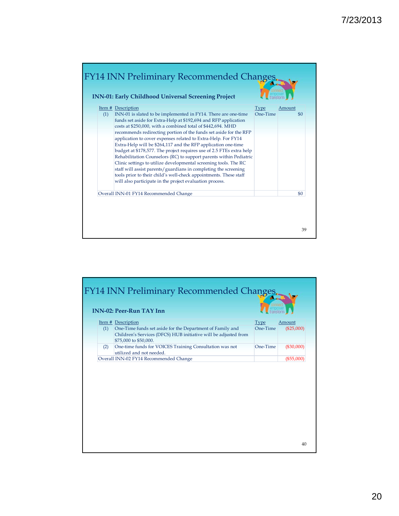

|     | <b>FY14 INN Preliminary Recommended Changes</b><br><b>INN-02: Peer-Run TAY Inn</b>       |                  |                        |
|-----|------------------------------------------------------------------------------------------|------------------|------------------------|
| (1) | Item # Description<br>One-Time funds set aside for the Department of Family and          | Type<br>One-Time | Amount<br>$(\$25,000)$ |
|     | Children's Services (DFCS) HUB initiative will be adjusted from<br>\$75,000 to \$50,000. |                  |                        |
| (2) | One-time funds for VOICES Training Consultation was not<br>utilized and not needed.      | One-Time         | $(\$30,000)$           |
|     | Overall INN-02 FY14 Recommended Change                                                   |                  | $(\$55,000)$           |
|     |                                                                                          |                  | 40                     |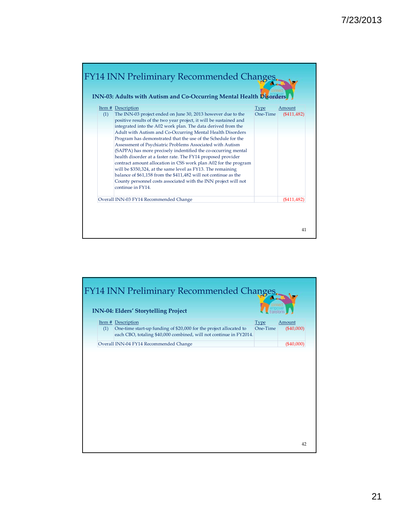

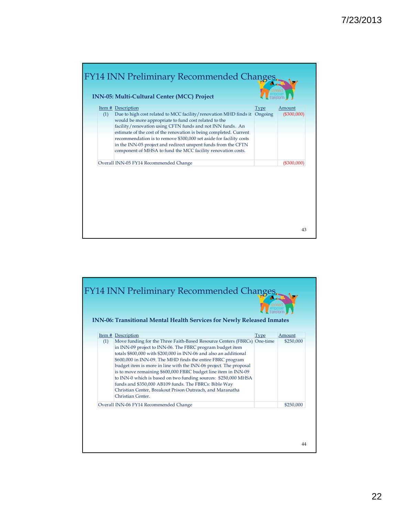

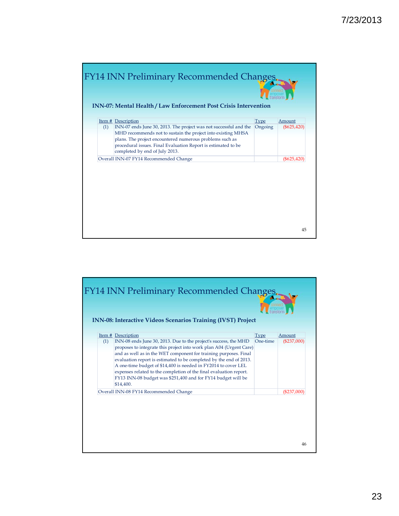| (1) | Item # Description<br>INN-07 ends June 30, 2013. The project was not successful and the | <b>Type</b><br>Ongoing | Amount<br>$(\$625,420)$ |
|-----|-----------------------------------------------------------------------------------------|------------------------|-------------------------|
|     | MHD recommends not to sustain the project into existing MHSA                            |                        |                         |
|     | plans. The project encountered numerous problems such as                                |                        |                         |
|     | procedural issues. Final Evaluation Report is estimated to be                           |                        |                         |
|     | completed by end of July 2013.                                                          |                        |                         |
|     | Overall INN-07 FY14 Recommended Change                                                  |                        | $(\$625,42$             |
|     |                                                                                         |                        |                         |

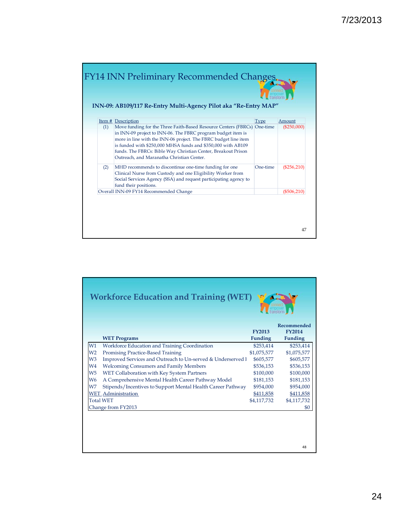

|                | <b>Workforce Education and Training (WET)</b>               |                                 |                                                |  |
|----------------|-------------------------------------------------------------|---------------------------------|------------------------------------------------|--|
|                | <b>WET Programs</b>                                         | <b>FY2013</b><br><b>Funding</b> | Recommended<br><b>FY2014</b><br><b>Funding</b> |  |
| W1             | Workforce Education and Training Coordination               | \$253,414                       | \$253,414                                      |  |
| W <sub>2</sub> | Promising Practice-Based Training                           | \$1,075,577                     | \$1,075,577                                    |  |
| W <sub>3</sub> | Improved Services and Outreach to Un-served & Underserved I | \$605,577                       | \$605,577                                      |  |
| W <sub>4</sub> | <b>Welcoming Consumers and Family Members</b>               | \$536,153                       | \$536,153                                      |  |
| W <sub>5</sub> | WET Collaboration with Key System Partners                  | \$100,000                       | \$100,000                                      |  |
| W <sub>6</sub> | A Comprehensive Mental Health Career Pathway Model          | \$181,153                       | \$181,153                                      |  |
| W7             | Stipends/Incentives to Support Mental Health Career Pathway | \$954,000                       | \$954,000                                      |  |
|                | <b>WET</b> Administration                                   | \$411,858                       | \$411,858                                      |  |
|                | <b>Total WET</b>                                            | \$4,117,732                     | \$4,117,732                                    |  |
|                | Change from FY2013                                          |                                 | \$0                                            |  |
|                |                                                             |                                 |                                                |  |
|                |                                                             |                                 |                                                |  |

48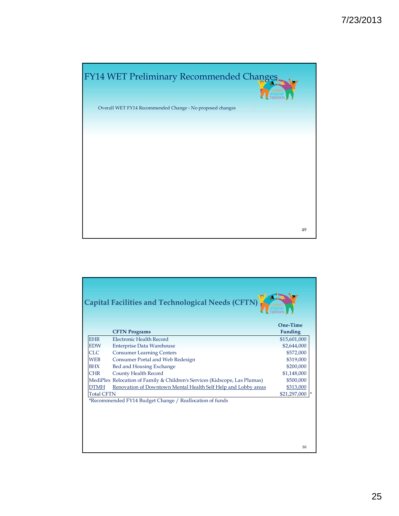

|                   |                                                                            | One-Time                       |
|-------------------|----------------------------------------------------------------------------|--------------------------------|
| <b>EHR</b>        | <b>CFTN Programs</b><br>Electronic Health Record                           | <b>Funding</b><br>\$15,601,000 |
| <b>EDW</b>        | <b>Enterprise Data Warehouse</b>                                           | \$2,644,000                    |
| CLC               | <b>Consumer Learning Centers</b>                                           | \$572,000                      |
| <b>WEB</b>        | Consumer Portal and Web Redesign                                           | \$319,000                      |
| <b>BHX</b>        | Bed and Housing Exchange                                                   | \$200,000                      |
| <b>CHR</b>        | <b>County Health Record</b>                                                | \$1,148,000                    |
|                   | MediPlex Relocation of Family & Children's Services (Kidscope, Las Plumas) | \$500,000                      |
| <b>DTMH</b>       | Renovation of Downtown Mental Health Self Help and Lobby areas             | \$313,000                      |
| <b>Total CFTN</b> |                                                                            | $$21,297,000$ *                |
|                   | *Recommended FY14 Budget Change / Reallocation of funds                    |                                |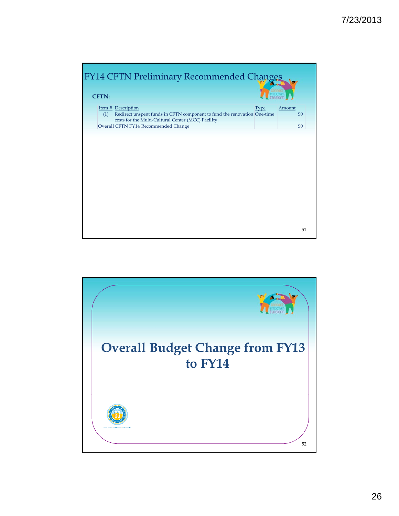

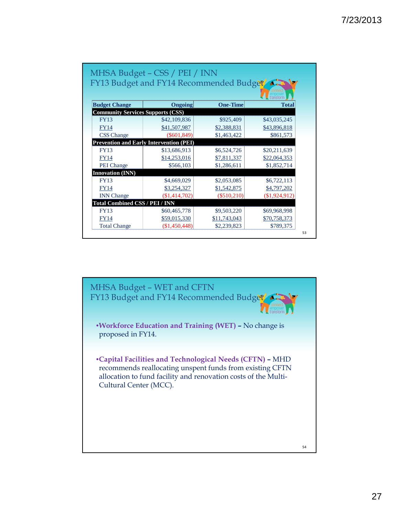|                                                | MHSA Budget - CSS / PEI / INN           |                 |                 |
|------------------------------------------------|-----------------------------------------|-----------------|-----------------|
|                                                | FY13 Budget and FY14 Recommended Budget |                 | transform       |
| <b>Budget Change</b>                           | Ongoing                                 | <b>One-Time</b> | <b>Total</b>    |
| <b>Community Services Supports (CSS)</b>       |                                         |                 |                 |
| <b>FY13</b>                                    | \$42,109,836                            | \$925,409       | \$43,035,245    |
| <b>FY14</b>                                    | \$41,507,987                            | \$2,388,831     | \$43,896,818    |
| <b>CSS</b> Change                              | (S601, 849)                             | \$1,463,422     | \$861,573       |
| <b>Prevention and Early Intervention (PEI)</b> |                                         |                 |                 |
| <b>FY13</b>                                    | \$13,686,913                            | \$6,524,726     | \$20,211,639    |
| <b>FY14</b>                                    | \$14,253,016                            | \$7,811,337     | \$22,064,353    |
| <b>PEI</b> Change                              | \$566,103                               | \$1,286,611     | \$1,852,714     |
| <b>Innovation (INN)</b>                        |                                         |                 |                 |
| <b>FY13</b>                                    | \$4,669,029                             | \$2,053,085     | \$6,722,113     |
| <b>FY14</b>                                    | \$3,254,327                             | \$1,542,875     | \$4,797,202     |
| <b>INN</b> Change                              | (\$1,414,702)                           | (\$510,210)     | $(\$1,924,912)$ |
| <b>Total Combined CSS / PEI / INN</b>          |                                         |                 |                 |
| <b>FY13</b>                                    | \$60,465,778                            | \$9,503,220     | \$69,968,998    |
| <b>FY14</b>                                    | \$59,015,330                            | \$11,743,043    | \$70,758,373    |
| <b>Total Change</b>                            | $(\$1,450,448)$                         | \$2,239,823     | \$789,375       |

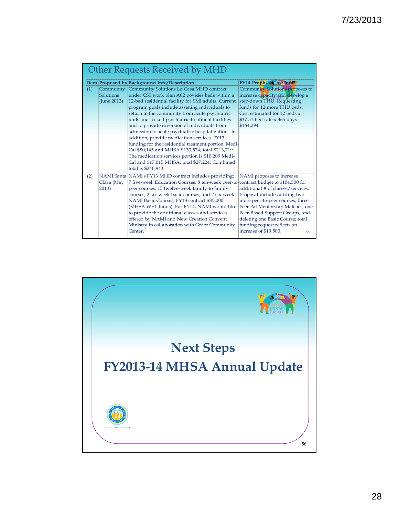|     |                                       | Item Proposed by Background Info/Description                                                                                                                                                                                                                                                                                                                                                                                                                                                                                                                                                                                                                                                              | FY14 Proposal Cost Info                                                                                                                                                                                                                                                                                    |
|-----|---------------------------------------|-----------------------------------------------------------------------------------------------------------------------------------------------------------------------------------------------------------------------------------------------------------------------------------------------------------------------------------------------------------------------------------------------------------------------------------------------------------------------------------------------------------------------------------------------------------------------------------------------------------------------------------------------------------------------------------------------------------|------------------------------------------------------------------------------------------------------------------------------------------------------------------------------------------------------------------------------------------------------------------------------------------------------------|
| (1) | Community<br>Solutions<br>(June 2013) | Community Solutions La Casa MHD contract<br>under CSS work plan A02 povides beds within a<br>12-bed residential facility for SMI adults. Current<br>program goals include assisting individuals to<br>return to the community from acute psychiatric<br>units and locked psychiatric treatment facilities<br>and to provide diversion of individuals from<br>admission to acute psychiatric hospitalization. In<br>addition, provide medication services. FY13<br>funding for the residential treament portion: Medi-<br>Cal \$80,145 and MHSA \$133,574; total \$213,719.<br>The medication services portion is \$10,209 Medi-<br>Cal and \$17,015 MHSA; total \$27,224. Combined<br>total is \$240,943. | Community Solutions proposes to<br>increase capacity and develop a<br>step-down THU. Requesting<br>funds for 12 more THU beds.<br>Cost estimated for 12 beds x<br>\$37.51 bed rate $x$ 365 days =<br>\$164,294.                                                                                            |
| (2) | Clara (May<br>2013)                   | NAMI Santa NAMI's FY13 MHD contract includes providing:<br>7 five-week Education Courses, 8 ten-week peer-to-contract budget to \$104,500 for<br>peer courses, 15 twelve-week family-to-family<br>courses, 2 six-week basic courses, and 2 six-week<br>NAMI Basic Courses; FY13 contract \$85,000<br>(MHSA WET funds). For FY14, NAMI would like<br>to provide the additional classes and services<br>offered by NAMI and New Creation Convent<br>Ministry in collaboration with Grace Community<br>Center.                                                                                                                                                                                               | NAMI proposes to increase<br>additional # of classes/services.<br>Proposal includes adding two<br>more peer-to-peer courses, three<br>Peer Pal Mentorship Matches, one<br>Peer-Based Support Groups, and<br>deleting one Basic Course; total<br>funding request reflects an<br>increase of \$19,500.<br>55 |